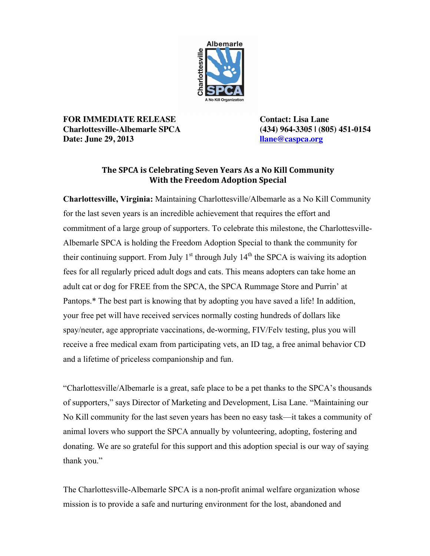

**FOR IMMEDIATE RELEASE Contact: Lisa Lane Charlottesville-Albemarle SPCA (434) 964-3305 | (805) 451-0154 Date: June 29, 2013 llane@caspca.org**

## The SPCA is Celebrating Seven Years As a No Kill Community **With the Freedom Adoption Special**

**Charlottesville, Virginia:** Maintaining Charlottesville/Albemarle as a No Kill Community for the last seven years is an incredible achievement that requires the effort and commitment of a large group of supporters. To celebrate this milestone, the Charlottesville-Albemarle SPCA is holding the Freedom Adoption Special to thank the community for their continuing support. From July  $1<sup>st</sup>$  through July  $1<sup>th</sup>$  the SPCA is waiving its adoption fees for all regularly priced adult dogs and cats. This means adopters can take home an adult cat or dog for FREE from the SPCA, the SPCA Rummage Store and Purrin' at Pantops.\* The best part is knowing that by adopting you have saved a life! In addition, your free pet will have received services normally costing hundreds of dollars like spay/neuter, age appropriate vaccinations, de-worming, FIV/Felv testing, plus you will receive a free medical exam from participating vets, an ID tag, a free animal behavior CD and a lifetime of priceless companionship and fun.

"Charlottesville/Albemarle is a great, safe place to be a pet thanks to the SPCA's thousands of supporters," says Director of Marketing and Development, Lisa Lane. "Maintaining our No Kill community for the last seven years has been no easy task—it takes a community of animal lovers who support the SPCA annually by volunteering, adopting, fostering and donating. We are so grateful for this support and this adoption special is our way of saying thank you."

The Charlottesville-Albemarle SPCA is a non-profit animal welfare organization whose mission is to provide a safe and nurturing environment for the lost, abandoned and